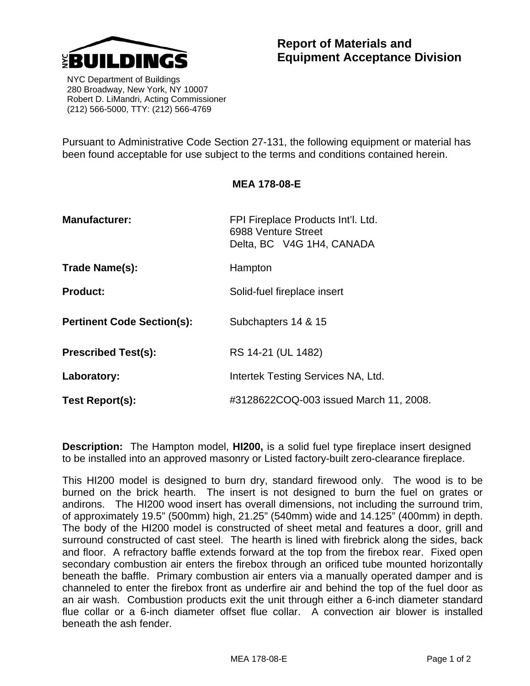

 NYC Department of Buildings 280 Broadway, New York, NY 10007 Robert D. LiMandri, Acting Commissioner (212) 566-5000, TTY: (212) 566-4769

Pursuant to Administrative Code Section 27-131, the following equipment or material has been found acceptable for use subject to the terms and conditions contained herein.

**MEA 178-08-E** 

| <b>Manufacturer:</b>              | FPI Fireplace Products Int'l. Ltd.<br>6988 Venture Street<br>Delta, BC V4G 1H4, CANADA |
|-----------------------------------|----------------------------------------------------------------------------------------|
| Trade Name(s):                    | Hampton                                                                                |
| <b>Product:</b>                   | Solid-fuel fireplace insert                                                            |
| <b>Pertinent Code Section(s):</b> | Subchapters 14 & 15                                                                    |
| <b>Prescribed Test(s):</b>        | RS 14-21 (UL 1482)                                                                     |
| Laboratory:                       | Intertek Testing Services NA, Ltd.                                                     |
| Test Report(s):                   | #3128622COQ-003 issued March 11, 2008.                                                 |

**Description:** The Hampton model, **HI200,** is a solid fuel type fireplace insert designed to be installed into an approved masonry or Listed factory-built zero-clearance fireplace.

This HI200 model is designed to burn dry, standard firewood only. The wood is to be burned on the brick hearth. The insert is not designed to burn the fuel on grates or andirons. The HI200 wood insert has overall dimensions, not including the surround trim, of approximately 19.5" (500mm) high, 21.25" (540mm) wide and 14.125" (400mm) in depth. The body of the HI200 model is constructed of sheet metal and features a door, grill and surround constructed of cast steel. The hearth is lined with firebrick along the sides, back and floor. A refractory baffle extends forward at the top from the firebox rear. Fixed open secondary combustion air enters the firebox through an orificed tube mounted horizontally beneath the baffle. Primary combustion air enters via a manually operated damper and is channeled to enter the firebox front as underfire air and behind the top of the fuel door as an air wash. Combustion products exit the unit through either a 6-inch diameter standard flue collar or a 6-inch diameter offset flue collar. A convection air blower is installed beneath the ash fender.